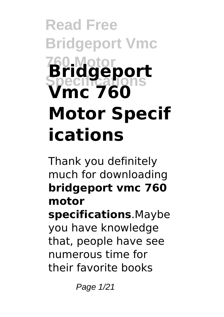# **Read Free Bridgeport Vmc 760 Motor Specifications Bridgeport Vmc 760 Motor Specif ications**

Thank you definitely much for downloading **bridgeport vmc 760 motor specifications**.Maybe you have knowledge that, people have see numerous time for their favorite books

Page 1/21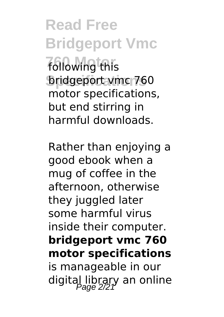**Read Free Bridgeport Vmc** *following this* **Specifications** bridgeport vmc 760 motor specifications, but end stirring in harmful downloads.

Rather than enjoying a good ebook when a mug of coffee in the afternoon, otherwise they juggled later some harmful virus inside their computer. **bridgeport vmc 760 motor specifications** is manageable in our digital library an online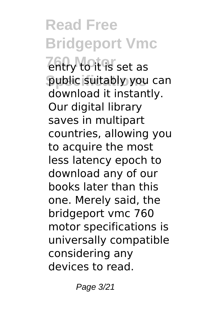**Read Free Bridgeport Vmc Tentry to it is set as** public suitably you can download it instantly. Our digital library saves in multipart countries, allowing you to acquire the most less latency epoch to download any of our books later than this one. Merely said, the bridgeport vmc 760 motor specifications is universally compatible considering any devices to read.

Page 3/21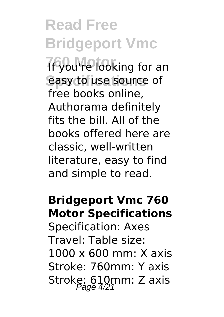## **Read Free Bridgeport Vmc**

**1f you're looking for an** easy to use source of free books online, Authorama definitely fits the bill. All of the books offered here are classic, well-written literature, easy to find and simple to read.

#### **Bridgeport Vmc 760 Motor Specifications**

Specification: Axes Travel: Table size: 1000 x 600 mm: X axis Stroke: 760mm: Y axis Stroke:  $610$ mm: Z axis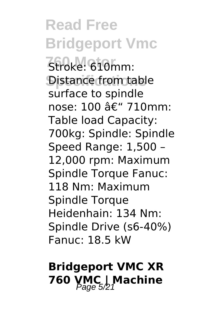**Read Free Bridgeport Vmc 760 Motor** Stroke: 610mm: Distance from table surface to spindle nose:  $100$  â $\epsilon$ " 710mm: Table load Capacity: 700kg: Spindle: Spindle Speed Range: 1,500 – 12,000 rpm: Maximum Spindle Torque Fanuc: 118 Nm: Maximum Spindle Torque Heidenhain: 134 Nm: Spindle Drive (s6-40%) Fanuc: 18.5 kW

### **Bridgeport VMC XR 760 YMC | Machine**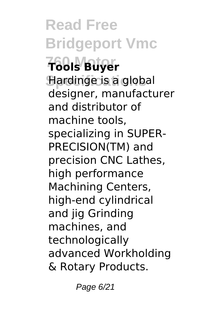**Read Free Bridgeport Vmc 760 Motor Tools Buyer Specifications** Hardinge is a global designer, manufacturer and distributor of machine tools, specializing in SUPER-PRECISION(TM) and precision CNC Lathes, high performance Machining Centers, high-end cylindrical and jig Grinding machines, and technologically advanced Workholding & Rotary Products.

Page 6/21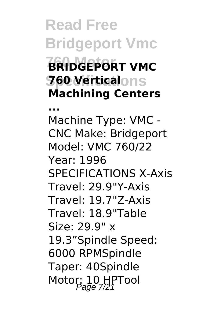### **Read Free Bridgeport Vmc BRIDGEPORT VMC Specifications 760 Vertical Machining Centers**

**...** Machine Type: VMC - CNC Make: Bridgeport Model: VMC 760/22 Year: 1996 SPECIFICATIONS X-Axis Travel: 29.9"Y-Axis Travel: 19.7"Z-Axis Travel: 18.9"Table Size: 29.9" x 19.3"Spindle Speed: 6000 RPMSpindle Taper: 40Spindle Motor: 10 HPTool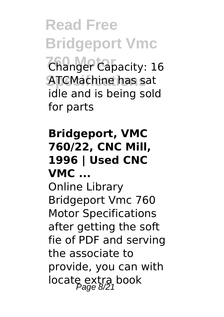**Read Free Bridgeport Vmc**

*Changer Capacity: 16* **Specifications** ATCMachine has sat idle and is being sold for parts

#### **Bridgeport, VMC 760/22, CNC Mill, 1996 | Used CNC VMC ...**

Online Library Bridgeport Vmc 760 Motor Specifications after getting the soft fie of PDF and serving the associate to provide, you can with locate extra book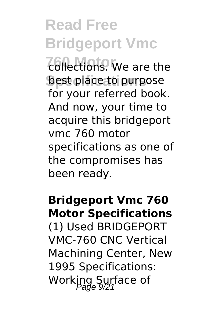# **Read Free Bridgeport Vmc**

*<u>Collections</u>*. We are the best place to purpose for your referred book. And now, your time to acquire this bridgeport vmc 760 motor specifications as one of the compromises has been ready.

#### **Bridgeport Vmc 760 Motor Specifications**

(1) Used BRIDGEPORT VMC-760 CNC Vertical Machining Center, New 1995 Specifications: Working Surface of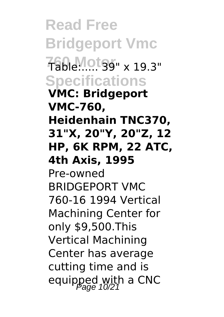**Read Free Bridgeport Vmc 760 Motor** Table:..... 39" x 19.3" **Specifications VMC: Bridgeport VMC-760, Heidenhain TNC370, 31"X, 20"Y, 20"Z, 12 HP, 6K RPM, 22 ATC, 4th Axis, 1995** Pre-owned BRIDGEPORT VMC 760-16 1994 Vertical Machining Center for only \$9,500.This Vertical Machining Center has average cutting time and is equipped with a CNC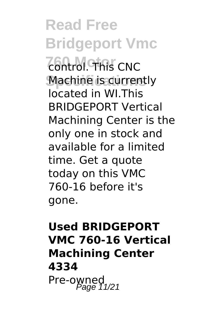**Read Free Bridgeport Vmc 760 Motor** control. This CNC **Machine is currently** located in WI.This BRIDGEPORT Vertical Machining Center is the only one in stock and available for a limited time. Get a quote today on this VMC 760-16 before it's gone.

#### **Used BRIDGEPORT VMC 760-16 Vertical Machining Center 4334** Pre-owned<br>Page 11/21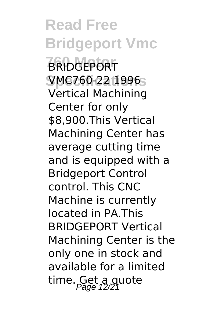**Read Free Bridgeport Vmc 760 Motor** BRIDGEPORT **Specifications** VMC760-22 1996 Vertical Machining Center for only \$8,900.This Vertical Machining Center has average cutting time and is equipped with a Bridgeport Control control. This CNC Machine is currently located in PA.This BRIDGEPORT Vertical Machining Center is the only one in stock and available for a limited time. Get a quote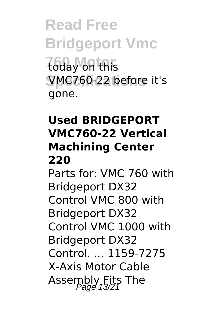**Read Free Bridgeport Vmc** *<u>Today</u>* on this **Specifications** VMC760-22 before it's gone.

#### **Used BRIDGEPORT VMC760-22 Vertical Machining Center 220**

Parts for: VMC 760 with Bridgeport DX32 Control VMC 800 with Bridgeport DX32 Control VMC 1000 with Bridgeport DX32 Control. ... 1159-7275 X-Axis Motor Cable Assembly Fits The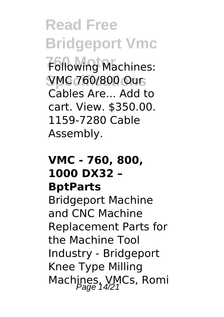**Read Free Bridgeport Vmc Following Machines: Specifications** VMC 760/800 Our Cables Are... Add to cart. View. \$350.00. 1159-7280 Cable Assembly.

#### **VMC - 760, 800, 1000 DX32 – BptParts**

Bridgeport Machine and CNC Machine Replacement Parts for the Machine Tool Industry - Bridgeport Knee Type Milling Machines, VMCs, Romi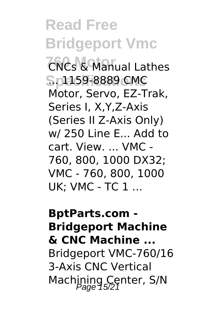**Read Free Bridgeport Vmc 760 CNCs & Manual Lathes Specifications** ... 1159-8889 CMC Motor, Servo, EZ-Trak, Series I, X,Y,Z-Axis (Series II Z-Axis Only) w/ 250 Line E... Add to cart. View. ... VMC - 760, 800, 1000 DX32; VMC - 760, 800, 1000 UK; VMC - TC 1 ...

**BptParts.com - Bridgeport Machine & CNC Machine ...** Bridgeport VMC-760/16 3-Axis CNC Vertical Machining Center, S/N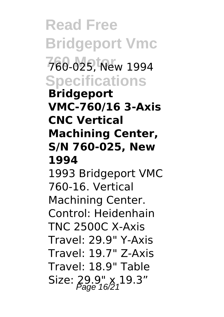**Read Free Bridgeport Vmc 760 Motor** 760-025, New 1994 **Specifications Bridgeport VMC-760/16 3-Axis CNC Vertical Machining Center, S/N 760-025, New 1994** 1993 Bridgeport VMC 760-16. Vertical Machining Center. Control: Heidenhain TNC 2500C X-Axis Travel: 29.9" Y-Axis Travel: 19.7" Z-Axis Travel: 18.9" Table Size:  $29.9'' \times 19.3''$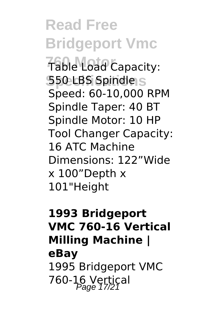**Read Free Bridgeport Vmc Table Load Capacity: Specifications** 550 LBS Spindle Speed: 60-10,000 RPM Spindle Taper: 40 BT Spindle Motor: 10 HP Tool Changer Capacity: 16 ATC Machine Dimensions: 122"Wide x 100"Depth x 101"Height

#### **1993 Bridgeport VMC 760-16 Vertical Milling Machine | eBay** 1995 Bridgeport VMC 760-16 Vertical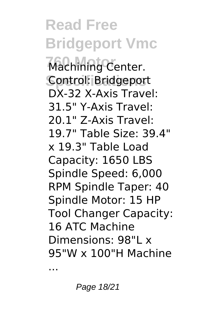**Read Free Bridgeport Vmc 760 Motor** Machining Center. **Specifications** Control: Bridgeport DX-32 X-Axis Travel: 31.5" Y-Axis Travel: 20.1" Z-Axis Travel: 19.7" Table Size: 39.4" x 19.3" Table Load Capacity: 1650 LBS Spindle Speed: 6,000 RPM Spindle Taper: 40 Spindle Motor: 15 HP Tool Changer Capacity: 16 ATC Machine Dimensions: 98"L x 95"W x 100"H Machine

...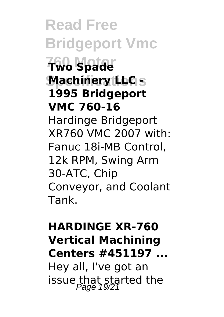**Read Free Bridgeport Vmc 760 Motor Two Spade Machinery LLC s 1995 Bridgeport VMC 760-16** Hardinge Bridgeport XR760 VMC 2007 with: Fanuc 18i-MB Control, 12k RPM, Swing Arm 30-ATC, Chip Conveyor, and Coolant Tank.

#### **HARDINGE XR-760 Vertical Machining Centers #451197 ...**

Hey all, I've got an issue that started the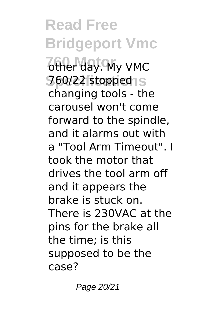**Read Free Bridgeport Vmc** *6ther day. My VMC* **Specifications** 760/22 stopped changing tools - the carousel won't come forward to the spindle, and it alarms out with a "Tool Arm Timeout". I took the motor that drives the tool arm off and it appears the brake is stuck on. There is 230VAC at the pins for the brake all the time; is this supposed to be the case?

Page 20/21